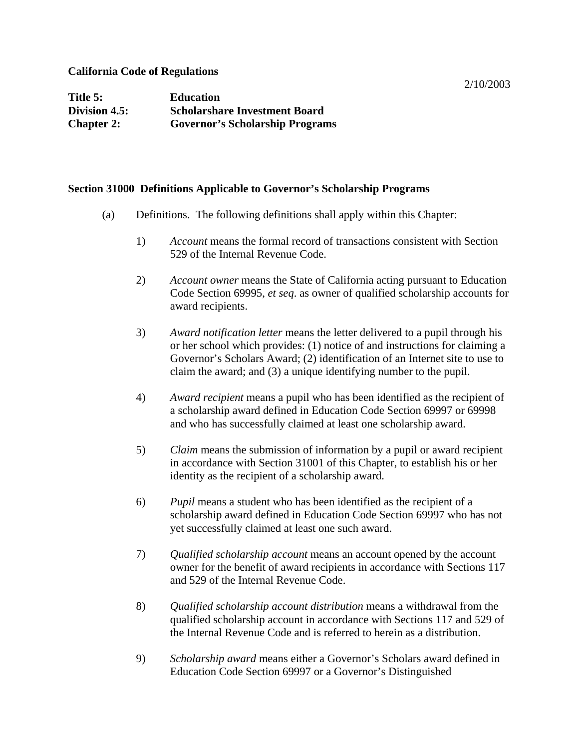#### **California Code of Regulations**

| Title 5:          | <b>Education</b>                       |
|-------------------|----------------------------------------|
| Division 4.5:     | <b>Scholarshare Investment Board</b>   |
| <b>Chapter 2:</b> | <b>Governor's Scholarship Programs</b> |

#### **Section 31000 Definitions Applicable to Governor's Scholarship Programs**

- (a) Definitions. The following definitions shall apply within this Chapter:
	- 1) *Account* means the formal record of transactions consistent with Section 529 of the Internal Revenue Code.
	- 2) *Account owner* means the State of California acting pursuant to Education Code Section 69995, *et seq*. as owner of qualified scholarship accounts for award recipients.
	- 3) *Award notification letter* means the letter delivered to a pupil through his or her school which provides: (1) notice of and instructions for claiming a Governor's Scholars Award; (2) identification of an Internet site to use to claim the award; and (3) a unique identifying number to the pupil.
	- 4) *Award recipient* means a pupil who has been identified as the recipient of a scholarship award defined in Education Code Section 69997 or 69998 and who has successfully claimed at least one scholarship award.
	- 5) *Claim* means the submission of information by a pupil or award recipient in accordance with Section 31001 of this Chapter, to establish his or her identity as the recipient of a scholarship award.
	- 6) *Pupil* means a student who has been identified as the recipient of a scholarship award defined in Education Code Section 69997 who has not yet successfully claimed at least one such award.
	- 7) *Qualified scholarship account* means an account opened by the account owner for the benefit of award recipients in accordance with Sections 117 and 529 of the Internal Revenue Code.
	- 8) *Qualified scholarship account distribution* means a withdrawal from the qualified scholarship account in accordance with Sections 117 and 529 of the Internal Revenue Code and is referred to herein as a distribution.
	- 9) *Scholarship award* means either a Governor's Scholars award defined in Education Code Section 69997 or a Governor's Distinguished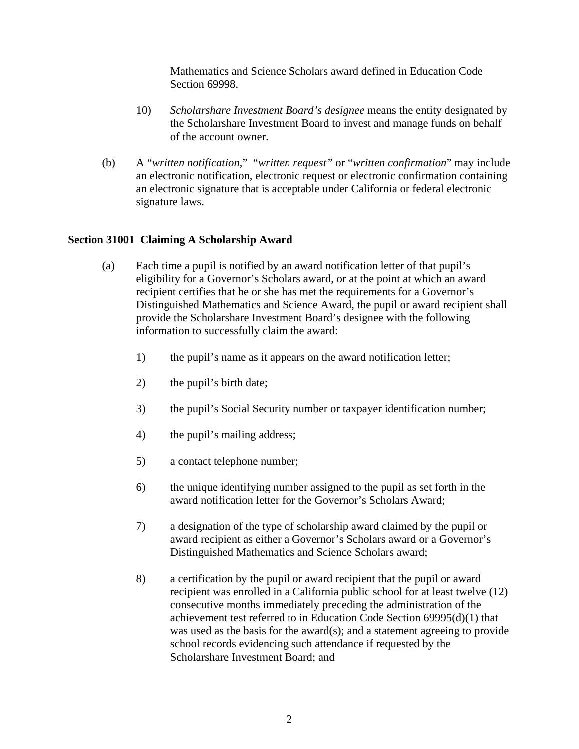Mathematics and Science Scholars award defined in Education Code Section 69998.

- 10) *Scholarshare Investment Board's designee* means the entity designated by the Scholarshare Investment Board to invest and manage funds on behalf of the account owner.
- (b) A "*written notification*," "*written request"* or "*written confirmation*" may include an electronic notification, electronic request or electronic confirmation containing an electronic signature that is acceptable under California or federal electronic signature laws.

### **Section 31001 Claiming A Scholarship Award**

- (a) Each time a pupil is notified by an award notification letter of that pupil's eligibility for a Governor's Scholars award, or at the point at which an award recipient certifies that he or she has met the requirements for a Governor's Distinguished Mathematics and Science Award, the pupil or award recipient shall provide the Scholarshare Investment Board's designee with the following information to successfully claim the award:
	- 1) the pupil's name as it appears on the award notification letter;
	- 2) the pupil's birth date;
	- 3) the pupil's Social Security number or taxpayer identification number;
	- 4) the pupil's mailing address;
	- 5) a contact telephone number;
	- 6) the unique identifying number assigned to the pupil as set forth in the award notification letter for the Governor's Scholars Award;
	- 7) a designation of the type of scholarship award claimed by the pupil or award recipient as either a Governor's Scholars award or a Governor's Distinguished Mathematics and Science Scholars award;
	- 8) a certification by the pupil or award recipient that the pupil or award recipient was enrolled in a California public school for at least twelve (12) consecutive months immediately preceding the administration of the achievement test referred to in Education Code Section 69995(d)(1) that was used as the basis for the award(s); and a statement agreeing to provide school records evidencing such attendance if requested by the Scholarshare Investment Board; and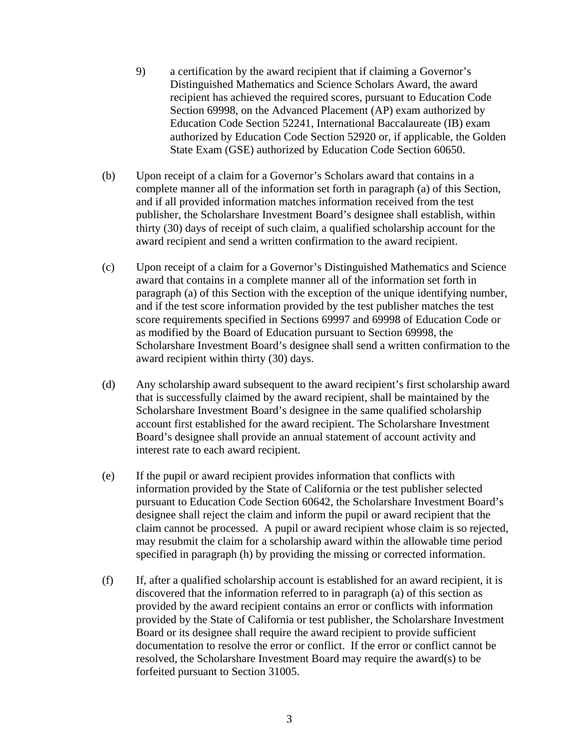- 9) a certification by the award recipient that if claiming a Governor's Distinguished Mathematics and Science Scholars Award, the award recipient has achieved the required scores, pursuant to Education Code Section 69998, on the Advanced Placement (AP) exam authorized by Education Code Section 52241, International Baccalaureate (IB) exam authorized by Education Code Section 52920 or, if applicable, the Golden State Exam (GSE) authorized by Education Code Section 60650.
- (b) Upon receipt of a claim for a Governor's Scholars award that contains in a complete manner all of the information set forth in paragraph (a) of this Section, and if all provided information matches information received from the test publisher, the Scholarshare Investment Board's designee shall establish, within thirty (30) days of receipt of such claim, a qualified scholarship account for the award recipient and send a written confirmation to the award recipient.
- (c) Upon receipt of a claim for a Governor's Distinguished Mathematics and Science award that contains in a complete manner all of the information set forth in paragraph (a) of this Section with the exception of the unique identifying number, and if the test score information provided by the test publisher matches the test score requirements specified in Sections 69997 and 69998 of Education Code or as modified by the Board of Education pursuant to Section 69998, the Scholarshare Investment Board's designee shall send a written confirmation to the award recipient within thirty (30) days.
- (d) Any scholarship award subsequent to the award recipient's first scholarship award that is successfully claimed by the award recipient, shall be maintained by the Scholarshare Investment Board's designee in the same qualified scholarship account first established for the award recipient. The Scholarshare Investment Board's designee shall provide an annual statement of account activity and interest rate to each award recipient.
- (e) If the pupil or award recipient provides information that conflicts with information provided by the State of California or the test publisher selected pursuant to Education Code Section 60642, the Scholarshare Investment Board's designee shall reject the claim and inform the pupil or award recipient that the claim cannot be processed. A pupil or award recipient whose claim is so rejected, may resubmit the claim for a scholarship award within the allowable time period specified in paragraph (h) by providing the missing or corrected information.
- (f) If, after a qualified scholarship account is established for an award recipient, it is discovered that the information referred to in paragraph (a) of this section as provided by the award recipient contains an error or conflicts with information provided by the State of California or test publisher, the Scholarshare Investment Board or its designee shall require the award recipient to provide sufficient documentation to resolve the error or conflict. If the error or conflict cannot be resolved, the Scholarshare Investment Board may require the award(s) to be forfeited pursuant to Section 31005.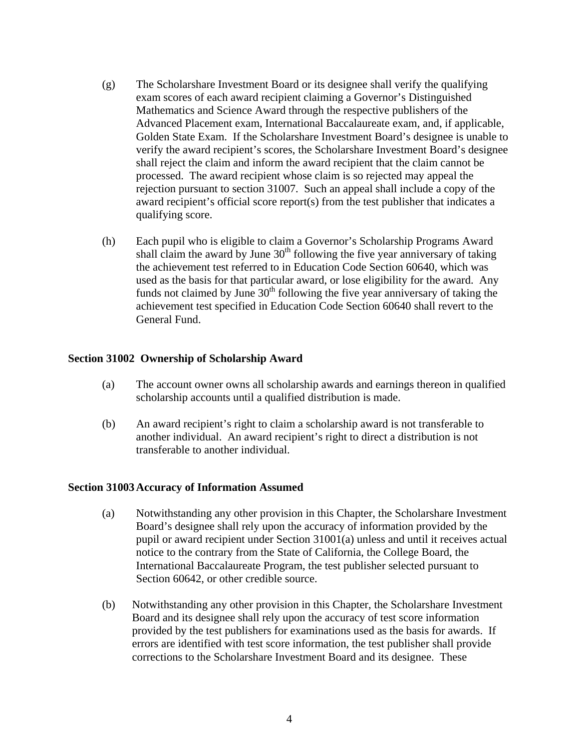- (g) The Scholarshare Investment Board or its designee shall verify the qualifying exam scores of each award recipient claiming a Governor's Distinguished Mathematics and Science Award through the respective publishers of the Advanced Placement exam, International Baccalaureate exam, and, if applicable, Golden State Exam. If the Scholarshare Investment Board's designee is unable to verify the award recipient's scores, the Scholarshare Investment Board's designee shall reject the claim and inform the award recipient that the claim cannot be processed. The award recipient whose claim is so rejected may appeal the rejection pursuant to section 31007. Such an appeal shall include a copy of the award recipient's official score report(s) from the test publisher that indicates a qualifying score.
- (h) Each pupil who is eligible to claim a Governor's Scholarship Programs Award shall claim the award by June  $30<sup>th</sup>$  following the five year anniversary of taking the achievement test referred to in Education Code Section 60640, which was used as the basis for that particular award, or lose eligibility for the award. Any funds not claimed by June  $30<sup>th</sup>$  following the five year anniversary of taking the achievement test specified in Education Code Section 60640 shall revert to the General Fund.

# **Section 31002 Ownership of Scholarship Award**

- (a) The account owner owns all scholarship awards and earnings thereon in qualified scholarship accounts until a qualified distribution is made.
- (b) An award recipient's right to claim a scholarship award is not transferable to another individual. An award recipient's right to direct a distribution is not transferable to another individual.

### **Section 31003 Accuracy of Information Assumed**

- (a) Notwithstanding any other provision in this Chapter, the Scholarshare Investment Board's designee shall rely upon the accuracy of information provided by the pupil or award recipient under Section 31001(a) unless and until it receives actual notice to the contrary from the State of California, the College Board, the International Baccalaureate Program, the test publisher selected pursuant to Section 60642, or other credible source.
- (b) Notwithstanding any other provision in this Chapter, the Scholarshare Investment Board and its designee shall rely upon the accuracy of test score information provided by the test publishers for examinations used as the basis for awards. If errors are identified with test score information, the test publisher shall provide corrections to the Scholarshare Investment Board and its designee. These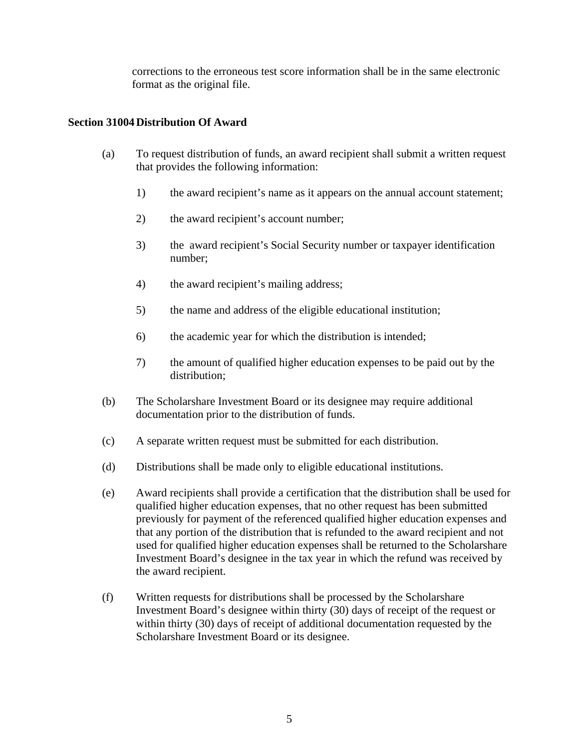corrections to the erroneous test score information shall be in the same electronic format as the original file.

## **Section 31004 Distribution Of Award**

- (a) To request distribution of funds, an award recipient shall submit a written request that provides the following information:
	- 1) the award recipient's name as it appears on the annual account statement;
	- 2) the award recipient's account number;
	- 3) the award recipient's Social Security number or taxpayer identification number;
	- 4) the award recipient's mailing address;
	- 5) the name and address of the eligible educational institution;
	- 6) the academic year for which the distribution is intended;
	- 7) the amount of qualified higher education expenses to be paid out by the distribution;
- (b) The Scholarshare Investment Board or its designee may require additional documentation prior to the distribution of funds.
- (c) A separate written request must be submitted for each distribution.
- (d) Distributions shall be made only to eligible educational institutions.
- (e) Award recipients shall provide a certification that the distribution shall be used for qualified higher education expenses, that no other request has been submitted previously for payment of the referenced qualified higher education expenses and that any portion of the distribution that is refunded to the award recipient and not used for qualified higher education expenses shall be returned to the Scholarshare Investment Board's designee in the tax year in which the refund was received by the award recipient.
- (f) Written requests for distributions shall be processed by the Scholarshare Investment Board's designee within thirty (30) days of receipt of the request or within thirty (30) days of receipt of additional documentation requested by the Scholarshare Investment Board or its designee.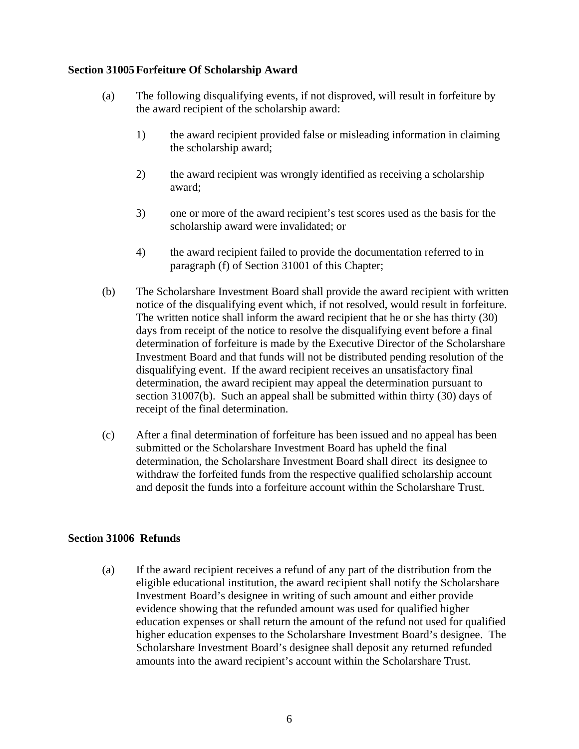## **Section 31005 Forfeiture Of Scholarship Award**

- (a) The following disqualifying events, if not disproved, will result in forfeiture by the award recipient of the scholarship award:
	- 1) the award recipient provided false or misleading information in claiming the scholarship award;
	- 2) the award recipient was wrongly identified as receiving a scholarship award;
	- 3) one or more of the award recipient's test scores used as the basis for the scholarship award were invalidated; or
	- 4) the award recipient failed to provide the documentation referred to in paragraph (f) of Section 31001 of this Chapter;
- (b) The Scholarshare Investment Board shall provide the award recipient with written notice of the disqualifying event which, if not resolved, would result in forfeiture. The written notice shall inform the award recipient that he or she has thirty (30) days from receipt of the notice to resolve the disqualifying event before a final determination of forfeiture is made by the Executive Director of the Scholarshare Investment Board and that funds will not be distributed pending resolution of the disqualifying event. If the award recipient receives an unsatisfactory final determination, the award recipient may appeal the determination pursuant to section 31007(b). Such an appeal shall be submitted within thirty (30) days of receipt of the final determination.
- (c) After a final determination of forfeiture has been issued and no appeal has been submitted or the Scholarshare Investment Board has upheld the final determination, the Scholarshare Investment Board shall direct its designee to withdraw the forfeited funds from the respective qualified scholarship account and deposit the funds into a forfeiture account within the Scholarshare Trust.

# **Section 31006 Refunds**

(a) If the award recipient receives a refund of any part of the distribution from the eligible educational institution, the award recipient shall notify the Scholarshare Investment Board's designee in writing of such amount and either provide evidence showing that the refunded amount was used for qualified higher education expenses or shall return the amount of the refund not used for qualified higher education expenses to the Scholarshare Investment Board's designee. The Scholarshare Investment Board's designee shall deposit any returned refunded amounts into the award recipient's account within the Scholarshare Trust.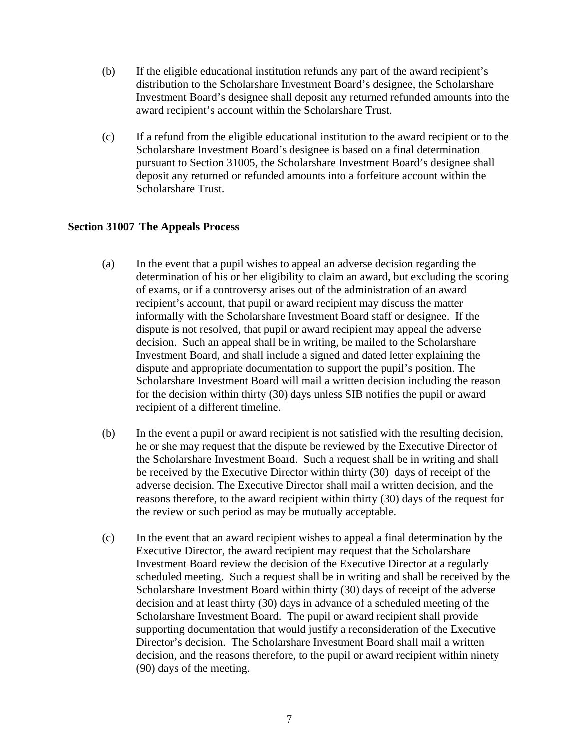- (b) If the eligible educational institution refunds any part of the award recipient's distribution to the Scholarshare Investment Board's designee, the Scholarshare Investment Board's designee shall deposit any returned refunded amounts into the award recipient's account within the Scholarshare Trust.
- (c) If a refund from the eligible educational institution to the award recipient or to the Scholarshare Investment Board's designee is based on a final determination pursuant to Section 31005, the Scholarshare Investment Board's designee shall deposit any returned or refunded amounts into a forfeiture account within the Scholarshare Trust.

### **Section 31007 The Appeals Process**

- (a) In the event that a pupil wishes to appeal an adverse decision regarding the determination of his or her eligibility to claim an award, but excluding the scoring of exams, or if a controversy arises out of the administration of an award recipient's account, that pupil or award recipient may discuss the matter informally with the Scholarshare Investment Board staff or designee. If the dispute is not resolved, that pupil or award recipient may appeal the adverse decision. Such an appeal shall be in writing, be mailed to the Scholarshare Investment Board, and shall include a signed and dated letter explaining the dispute and appropriate documentation to support the pupil's position. The Scholarshare Investment Board will mail a written decision including the reason for the decision within thirty (30) days unless SIB notifies the pupil or award recipient of a different timeline.
- (b) In the event a pupil or award recipient is not satisfied with the resulting decision, he or she may request that the dispute be reviewed by the Executive Director of the Scholarshare Investment Board. Such a request shall be in writing and shall be received by the Executive Director within thirty (30) days of receipt of the adverse decision. The Executive Director shall mail a written decision, and the reasons therefore, to the award recipient within thirty (30) days of the request for the review or such period as may be mutually acceptable.
- (c) In the event that an award recipient wishes to appeal a final determination by the Executive Director, the award recipient may request that the Scholarshare Investment Board review the decision of the Executive Director at a regularly scheduled meeting. Such a request shall be in writing and shall be received by the Scholarshare Investment Board within thirty (30) days of receipt of the adverse decision and at least thirty (30) days in advance of a scheduled meeting of the Scholarshare Investment Board. The pupil or award recipient shall provide supporting documentation that would justify a reconsideration of the Executive Director's decision. The Scholarshare Investment Board shall mail a written decision, and the reasons therefore, to the pupil or award recipient within ninety (90) days of the meeting.